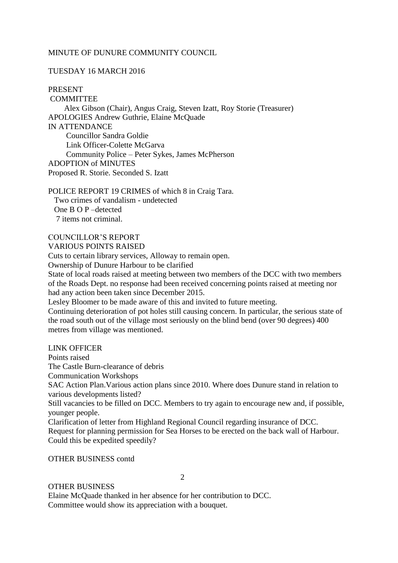### MINUTE OF DUNURE COMMUNITY COUNCIL

# TUESDAY 16 MARCH 2016

PRESENT

COMMITTEE Alex Gibson (Chair), Angus Craig, Steven Izatt, Roy Storie (Treasurer) APOLOGIES Andrew Guthrie, Elaine McQuade IN ATTENDANCE Councillor Sandra Goldie Link Officer-Colette McGarva Community Police – Peter Sykes, James McPherson ADOPTION of MINUTES Proposed R. Storie. Seconded S. Izatt

POLICE REPORT 19 CRIMES of which 8 in Craig Tara. Two crimes of vandalism - undetected One B O P –detected 7 items not criminal.

#### COUNCILLOR'S REPORT VARIOUS POINTS RAISED

Cuts to certain library services, Alloway to remain open.

Ownership of Dunure Harbour to be clarified

State of local roads raised at meeting between two members of the DCC with two members of the Roads Dept. no response had been received concerning points raised at meeting nor had any action been taken since December 2015.

Lesley Bloomer to be made aware of this and invited to future meeting.

Continuing deterioration of pot holes still causing concern. In particular, the serious state of the road south out of the village most seriously on the blind bend (over 90 degrees) 400 metres from village was mentioned.

LINK OFFICER

Points raised The Castle Burn-clearance of debris Communication Workshops SAC Action Plan.Various action plans since 2010. Where does Dunure stand in relation to various developments listed? Still vacancies to be filled on DCC. Members to try again to encourage new and, if possible, younger people. Clarification of letter from Highland Regional Council regarding insurance of DCC. Request for planning permission for Sea Horses to be erected on the back wall of Harbour. Could this be expedited speedily?

OTHER BUSINESS contd

2

## OTHER BUSINESS

Elaine McQuade thanked in her absence for her contribution to DCC. Committee would show its appreciation with a bouquet.